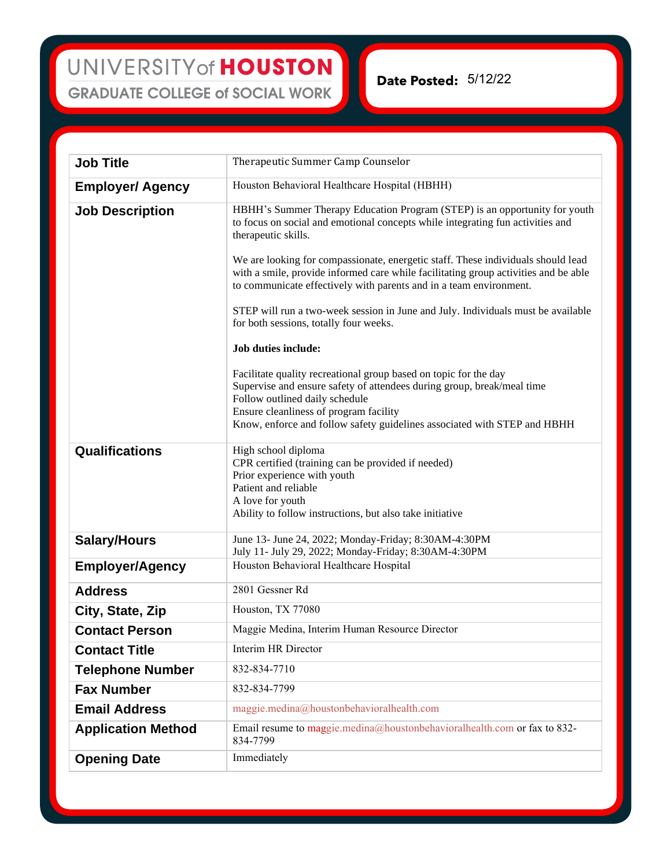## **Date Posted: 5/12/22**

| <b>Job Title</b>          | Therapeutic Summer Camp Counselor                                                                                                                                                                                                                                                                  |
|---------------------------|----------------------------------------------------------------------------------------------------------------------------------------------------------------------------------------------------------------------------------------------------------------------------------------------------|
| <b>Employer/ Agency</b>   | Houston Behavioral Healthcare Hospital (HBHH)                                                                                                                                                                                                                                                      |
| <b>Job Description</b>    | HBHH's Summer Therapy Education Program (STEP) is an opportunity for youth<br>to focus on social and emotional concepts while integrating fun activities and<br>therapeutic skills.                                                                                                                |
|                           | We are looking for compassionate, energetic staff. These individuals should lead<br>with a smile, provide informed care while facilitating group activities and be able<br>to communicate effectively with parents and in a team environment.                                                      |
|                           | STEP will run a two-week session in June and July. Individuals must be available<br>for both sessions, totally four weeks.                                                                                                                                                                         |
|                           | <b>Job duties include:</b>                                                                                                                                                                                                                                                                         |
|                           | Facilitate quality recreational group based on topic for the day<br>Supervise and ensure safety of attendees during group, break/meal time<br>Follow outlined daily schedule<br>Ensure cleanliness of program facility<br>Know, enforce and follow safety guidelines associated with STEP and HBHH |
| Qualifications            | High school diploma<br>CPR certified (training can be provided if needed)<br>Prior experience with youth<br>Patient and reliable<br>A love for youth<br>Ability to follow instructions, but also take initiative                                                                                   |
| <b>Salary/Hours</b>       | June 13- June 24, 2022; Monday-Friday; 8:30AM-4:30PM<br>July 11- July 29, 2022; Monday-Friday; 8:30AM-4:30PM                                                                                                                                                                                       |
| <b>Employer/Agency</b>    | Houston Behavioral Healthcare Hospital                                                                                                                                                                                                                                                             |
| <b>Address</b>            | 2801 Gessner Rd                                                                                                                                                                                                                                                                                    |
| City, State, Zip          | Houston, TX 77080                                                                                                                                                                                                                                                                                  |
| <b>Contact Person</b>     | Maggie Medina, Interim Human Resource Director                                                                                                                                                                                                                                                     |
| <b>Contact Title</b>      | Interim HR Director                                                                                                                                                                                                                                                                                |
| <b>Telephone Number</b>   | 832-834-7710                                                                                                                                                                                                                                                                                       |
| <b>Fax Number</b>         | 832-834-7799                                                                                                                                                                                                                                                                                       |
| <b>Email Address</b>      | maggie.medina@houstonbehavioralhealth.com                                                                                                                                                                                                                                                          |
| <b>Application Method</b> | Email resume to maggie.medina@houstonbehavioralhealth.com or fax to 832-<br>834-7799                                                                                                                                                                                                               |
| <b>Opening Date</b>       | Immediately                                                                                                                                                                                                                                                                                        |